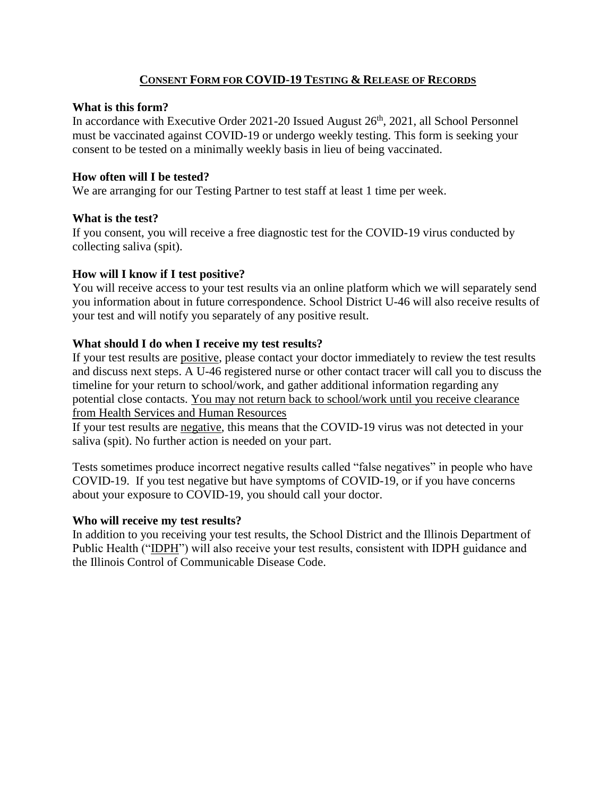## **CONSENT FORM FOR COVID-19 TESTING & RELEASE OF RECORDS**

#### **What is this form?**

In accordance with Executive Order 2021-20 Issued August  $26<sup>th</sup>$ , 2021, all School Personnel must be vaccinated against COVID-19 or undergo weekly testing. This form is seeking your consent to be tested on a minimally weekly basis in lieu of being vaccinated.

## **How often will I be tested?**

We are arranging for our Testing Partner to test staff at least 1 time per week.

## **What is the test?**

If you consent, you will receive a free diagnostic test for the COVID-19 virus conducted by collecting saliva (spit).

## **How will I know if I test positive?**

You will receive access to your test results via an online platform which we will separately send you information about in future correspondence. School District U-46 will also receive results of your test and will notify you separately of any positive result.

# **What should I do when I receive my test results?**

If your test results are positive, please contact your doctor immediately to review the test results and discuss next steps. A U-46 registered nurse or other contact tracer will call you to discuss the timeline for your return to school/work, and gather additional information regarding any potential close contacts. You may not return back to school/work until you receive clearance from Health Services and Human Resources

If your test results are negative, this means that the COVID-19 virus was not detected in your saliva (spit). No further action is needed on your part.

Tests sometimes produce incorrect negative results called "false negatives" in people who have COVID-19. If you test negative but have symptoms of COVID-19, or if you have concerns about your exposure to COVID-19, you should call your doctor.

## **Who will receive my test results?**

In addition to you receiving your test results, the School District and the Illinois Department of Public Health ("IDPH") will also receive your test results, consistent with IDPH guidance and the Illinois Control of Communicable Disease Code.